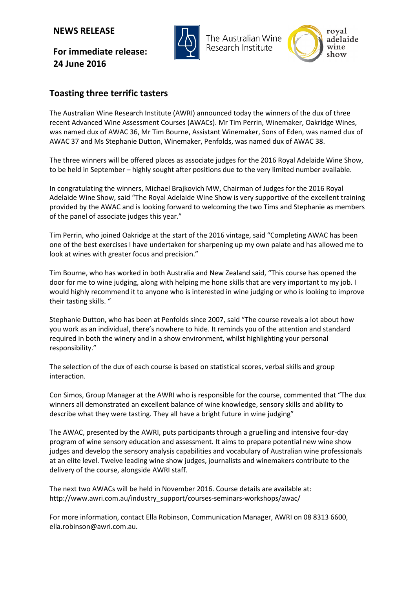## **NEWS RELEASE**

**For immediate release: 24 June 2016**



The Australian Wine Research Institute



## **Toasting three terrific tasters**

The Australian Wine Research Institute (AWRI) announced today the winners of the dux of three recent Advanced Wine Assessment Courses (AWACs). Mr Tim Perrin, Winemaker, Oakridge Wines, was named dux of AWAC 36, Mr Tim Bourne, Assistant Winemaker, Sons of Eden, was named dux of AWAC 37 and Ms Stephanie Dutton, Winemaker, Penfolds, was named dux of AWAC 38.

The three winners will be offered places as associate judges for the 2016 Royal Adelaide Wine Show, to be held in September – highly sought after positions due to the very limited number available.

In congratulating the winners, Michael Brajkovich MW, Chairman of Judges for the 2016 Royal Adelaide Wine Show, said "The Royal Adelaide Wine Show is very supportive of the excellent training provided by the AWAC and is looking forward to welcoming the two Tims and Stephanie as members of the panel of associate judges this year."

Tim Perrin, who joined Oakridge at the start of the 2016 vintage, said "Completing AWAC has been one of the best exercises I have undertaken for sharpening up my own palate and has allowed me to look at wines with greater focus and precision."

Tim Bourne, who has worked in both Australia and New Zealand said, "This course has opened the door for me to wine judging, along with helping me hone skills that are very important to my job. I would highly recommend it to anyone who is interested in wine judging or who is looking to improve their tasting skills. "

Stephanie Dutton, who has been at Penfolds since 2007, said "The course reveals a lot about how you work as an individual, there's nowhere to hide. It reminds you of the attention and standard required in both the winery and in a show environment, whilst highlighting your personal responsibility."

The selection of the dux of each course is based on statistical scores, verbal skills and group interaction.

Con Simos, Group Manager at the AWRI who is responsible for the course, commented that "The dux winners all demonstrated an excellent balance of wine knowledge, sensory skills and ability to describe what they were tasting. They all have a bright future in wine judging"

The AWAC, presented by the AWRI, puts participants through a gruelling and intensive four-day program of wine sensory education and assessment. It aims to prepare potential new wine show judges and develop the sensory analysis capabilities and vocabulary of Australian wine professionals at an elite level. Twelve leading wine show judges, journalists and winemakers contribute to the delivery of the course, alongside AWRI staff.

The next two AWACs will be held in November 2016. Course details are available at: http://www.awri.com.au/industry\_support/courses-seminars-workshops/awac/

For more information, contact Ella Robinson, Communication Manager, AWRI on 08 8313 6600, [ella.robinson@awri.com.au.](mailto:ella.robinson@awri.com.au)